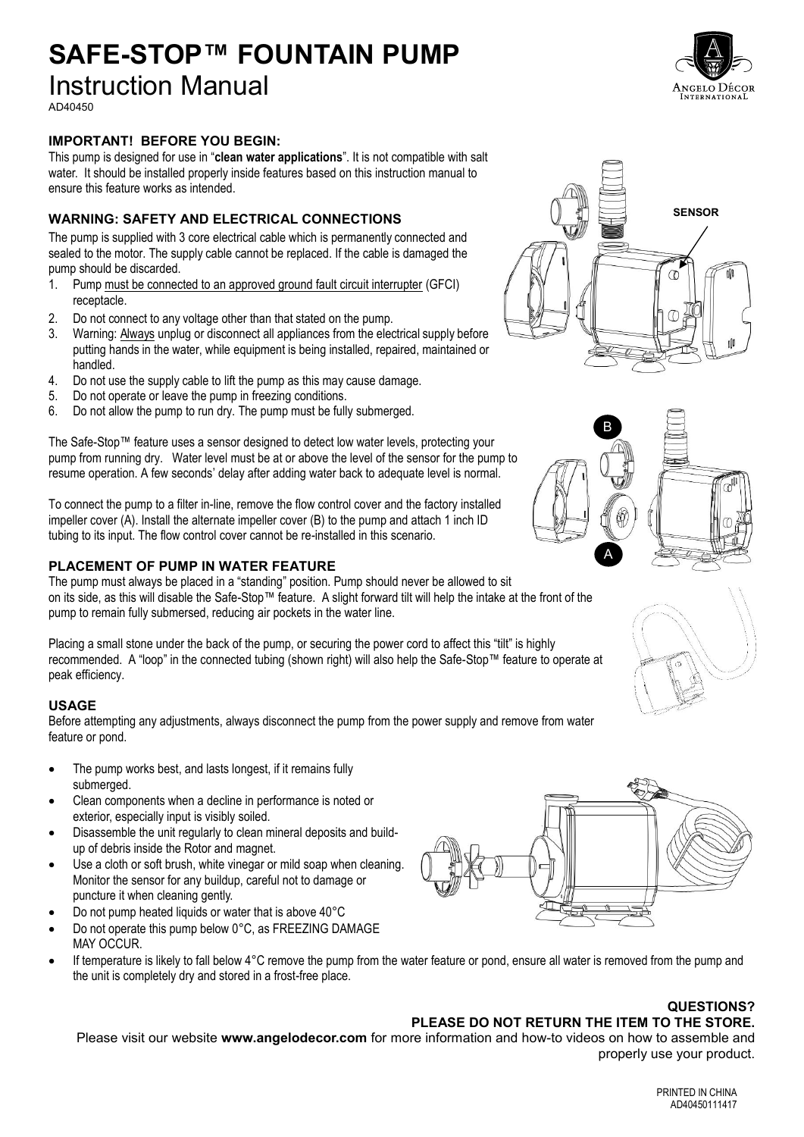## **SAFE-STOP™ FOUNTAIN PUMP** Instruction Manual

AD40450

### **IMPORTANT! BEFORE YOU BEGIN:**

This pump is designed for use in "**clean water applications**". It is not compatible with salt water. It should be installed properly inside features based on this instruction manual to ensure this feature works as intended.

### **WARNING: SAFETY AND ELECTRICAL CONNECTIONS**

The pump is supplied with 3 core electrical cable which is permanently connected and sealed to the motor. The supply cable cannot be replaced. If the cable is damaged the pump should be discarded.

- 1. Pump must be connected to an approved ground fault circuit interrupter (GFCI) receptacle.
- 2. Do not connect to any voltage other than that stated on the pump.
- 3. Warning: Always unplug or disconnect all appliances from the electrical supply before putting hands in the water, while equipment is being installed, repaired, maintained or handled.
- 4. Do not use the supply cable to lift the pump as this may cause damage.
- 5. Do not operate or leave the pump in freezing conditions.
- 6. Do not allow the pump to run dry. The pump must be fully submerged.

The Safe-Stop™ feature uses a sensor designed to detect low water levels, protecting your pump from running dry. Water level must be at or above the level of the sensor for the pump to resume operation. A few seconds' delay after adding water back to adequate level is normal.

To connect the pump to a filter in-line, remove the flow control cover and the factory installed impeller cover (A). Install the alternate impeller cover (B) to the pump and attach 1 inch ID tubing to its input. The flow control cover cannot be re-installed in this scenario.

### **PLACEMENT OF PUMP IN WATER FEATURE**

The pump must always be placed in a "standing" position. Pump should never be allowed to sit on its side, as this will disable the Safe-Stop™ feature. A slight forward tilt will help the intake at the front of the pump to remain fully submersed, reducing air pockets in the water line.

Placing a small stone under the back of the pump, or securing the power cord to affect this "tilt" is highly recommended. A "loop" in the connected tubing (shown right) will also help the Safe-Stop™ feature to operate at peak efficiency.

### **USAGE**

Before attempting any adjustments, always disconnect the pump from the power supply and remove from water feature or pond.

- The pump works best, and lasts longest, if it remains fully submerged.
- Clean components when a decline in performance is noted or exterior, especially input is visibly soiled.
- Disassemble the unit regularly to clean mineral deposits and buildup of debris inside the Rotor and magnet.
- Use a cloth or soft brush, white vinegar or mild soap when cleaning. Monitor the sensor for any buildup, careful not to damage or puncture it when cleaning gently.
- Do not pump heated liquids or water that is above 40°C
- Do not operate this pump below 0°C, as FREEZING DAMAGE MAY OCCUR.
- If temperature is likely to fall below 4°C remove the pump from the water feature or pond, ensure all water is removed from the pump and the unit is completely dry and stored in a frost-free place.

### **QUESTIONS?**

### **PLEASE DO NOT RETURN THE ITEM TO THE STORE.**

Please visit our website **www.angelodecor.com** for more information and how-to videos on how to assemble and properly use your product.









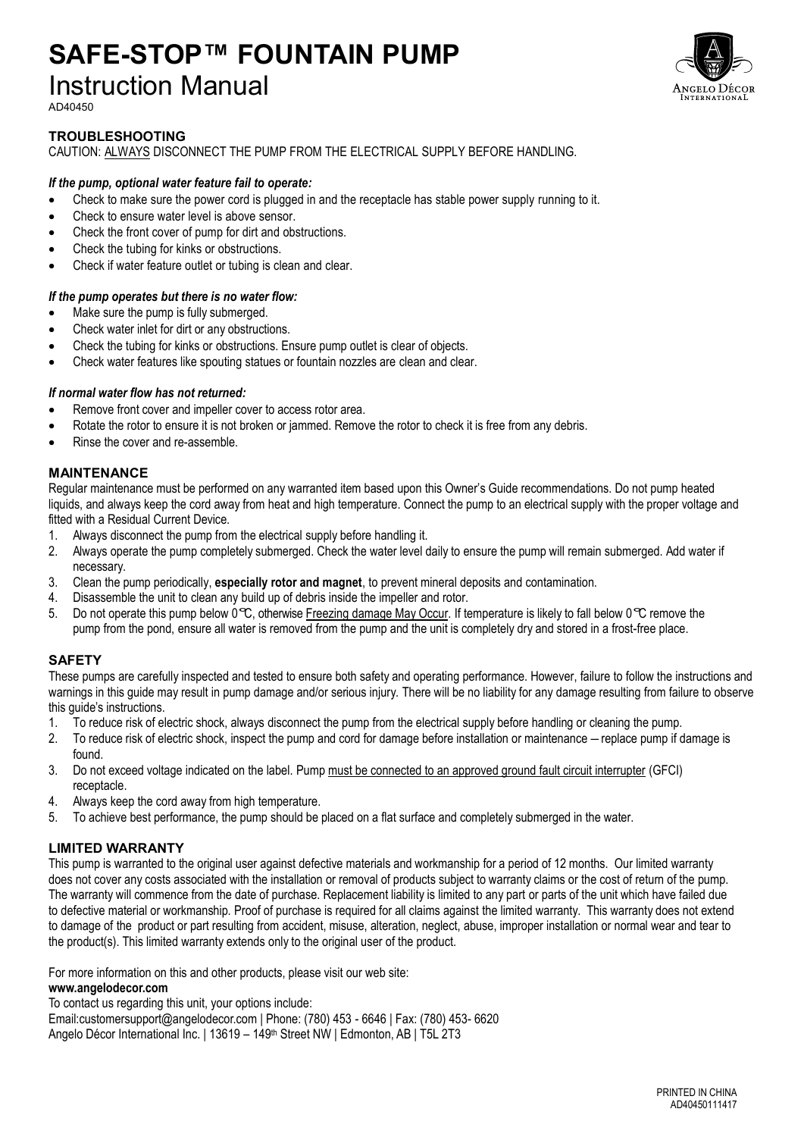## **SAFE-STOP™ FOUNTAIN PUMP** Instruction Manual



### **TROUBLESHOOTING**

CAUTION: ALWAYS DISCONNECT THE PUMP FROM THE ELECTRICAL SUPPLY BEFORE HANDLING.

### *If the pump, optional water feature fail to operate:*

- Check to make sure the power cord is plugged in and the receptacle has stable power supply running to it.
- Check to ensure water level is above sensor.
- Check the front cover of pump for dirt and obstructions.
- Check the tubing for kinks or obstructions.
- Check if water feature outlet or tubing is clean and clear.

### *If the pump operates but there is no water flow:*

- Make sure the pump is fully submerged.
- Check water inlet for dirt or any obstructions.
- Check the tubing for kinks or obstructions. Ensure pump outlet is clear of objects.
- Check water features like spouting statues or fountain nozzles are clean and clear.

### *If normal water flow has not returned:*

- Remove front cover and impeller cover to access rotor area.
- Rotate the rotor to ensure it is not broken or jammed. Remove the rotor to check it is free from any debris.
- x Rinse the cover and re-assemble.

### **MAINTENANCE**

Regular maintenance must be performed on any warranted item based upon this Owner's Guide recommendations. Do not pump heated liquids, and always keep the cord away from heat and high temperature. Connect the pump to an electrical supply with the proper voltage and fitted with a Residual Current Device.

- 1. Always disconnect the pump from the electrical supply before handling it.
- 2. Always operate the pump completely submerged. Check the water level daily to ensure the pump will remain submerged. Add water if necessary.
- 3. Clean the pump periodically, **especially rotor and magnet**, to prevent mineral deposits and contamination.
- 4. Disassemble the unit to clean any build up of debris inside the impeller and rotor.
- 5. Do not operate this pump below  $0^\circ\mathbb{C}$ , otherwise Freezing damage May Occur. If temperature is likely to fall below  $0^\circ\mathbb{C}$  remove the pump from the pond, ensure all water is removed from the pump and the unit is completely dry and stored in a frost-free place.

### **SAFETY**

These pumps are carefully inspected and tested to ensure both safety and operating performance. However, failure to follow the instructions and warnings in this guide may result in pump damage and/or serious injury. There will be no liability for any damage resulting from failure to observe this guide's instructions.

- 1. To reduce risk of electric shock, always disconnect the pump from the electrical supply before handling or cleaning the pump.
- 2. To reduce risk of electric shock, inspect the pump and cord for damage before installation or maintenance replace pump if damage is found.
- 3. Do not exceed voltage indicated on the label. Pump must be connected to an approved ground fault circuit interrupter (GFCI) receptacle.
- 4. Always keep the cord away from high temperature.
- 5. To achieve best performance, the pump should be placed on a flat surface and completely submerged in the water.

### **LIMITED WARRANTY**

This pump is warranted to the original user against defective materials and workmanship for a period of 12 months. Our limited warranty does not cover any costs associated with the installation or removal of products subject to warranty claims or the cost of return of the pump. The warranty will commence from the date of purchase. Replacement liability is limited to any part or parts of the unit which have failed due to defective material or workmanship. Proof of purchase is required for all claims against the limited warranty. This warranty does not extend to damage of the product or part resulting from accident, misuse, alteration, neglect, abuse, improper installation or normal wear and tear to the product(s). This limited warranty extends only to the original user of the product.

For more information on this and other products, please visit our web site:

### **[www.angelodecor.com](http://www.angelodecor.com/)**

To contact us regarding this unit, your options include:

Email:customersupport@angelodecor.com | Phone: (780) 453 - 6646 | Fax: (780) 453- 6620 Angelo Décor International Inc. | 13619 – 149th Street NW | Edmonton, AB | T5L 2T3

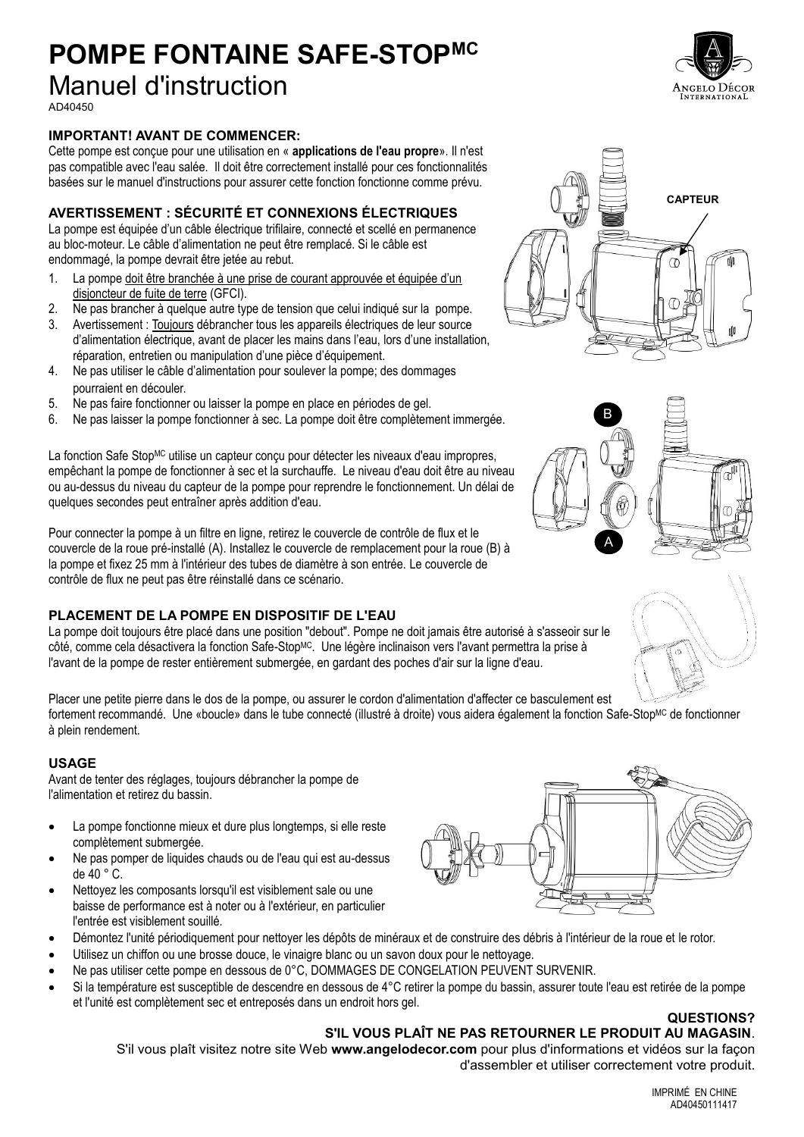## **POMPE FONTAINE SAFE-STOPMC**

### Manuel d'instruction

AD40450

### **IMPORTANT! AVANT DE COMMENCER:**

Cette pompe est conçue pour une utilisation en « **applications de l'eau propre**». Il n'est pas compatible avec l'eau salée. Il doit être correctement installé pour ces fonctionnalités basées sur le manuel d'instructions pour assurer cette fonction fonctionne comme prévu.

### **AVERTISSEMENT : SÉCURITÉ ET CONNEXIONS ÉLECTRIQUES**

La pompe est équipée d'un câble électrique trifilaire, connecté et scellé en permanence au bloc-moteur. Le câble d'alimentation ne peut être remplacé. Si le câble est endommagé, la pompe devrait être jetée au rebut.

- 1. La pompe doit être branchée à une prise de courant approuvée et équipée d'un disjoncteur de fuite de terre (GFCI).
- 2. Ne pas brancher à quelque autre type de tension que celui indiqué sur la pompe.
- 3. Avertissement : Toujours débrancher tous les appareils électriques de leur source d'alimentation électrique, avant de placer les mains dans l'eau, lors d'une installation, réparation, entretien ou manipulation d'une pièce d'équipement.
- 4. Ne pas utiliser le câble d'alimentation pour soulever la pompe; des dommages pourraient en découler.
- 5. Ne pas faire fonctionner ou laisser la pompe en place en périodes de gel.
- 6. Ne pas laisser la pompe fonctionner à sec. La pompe doit être complètement immergée.

La fonction Safe Stop<sup>MC</sup> utilise un capteur conçu pour détecter les niveaux d'eau impropres, empêchant la pompe de fonctionner à sec et la surchauffe. Le niveau d'eau doit être au niveau ou au-dessus du niveau du capteur de la pompe pour reprendre le fonctionnement. Un délai de quelques secondes peut entraîner après addition d'eau.

Pour connecter la pompe à un filtre en ligne, retirez le couvercle de contrôle de flux et le couvercle de la roue pré-installé (A). Installez le couvercle de remplacement pour la roue (B) à la pompe et fixez 25 mm à l'intérieur des tubes de diamètre à son entrée. Le couvercle de contrôle de flux ne peut pas être réinstallé dans ce scénario.

### **PLACEMENT DE LA POMPE EN DISPOSITIF DE L'EAU**

La pompe doit toujours être placé dans une position "debout". Pompe ne doit jamais être autorisé à s'asseoir sur le côté, comme cela désactivera la fonction Safe-StopMC. Une légère inclinaison vers l'avant permettra la prise à l'avant de la pompe de rester entièrement submergée, en gardant des poches d'air sur la ligne d'eau.

Placer une petite pierre dans le dos de la pompe, ou assurer le cordon d'alimentation d'affecter ce basculement est fortement recommandé. Une «boucle» dans le tube connecté (illustré à droite) vous aidera également la fonction Safe-Stop<sup>MC</sup> de fonctionner à plein rendement.

### **USAGE**

Avant de tenter des réglages, toujours débrancher la pompe de l'alimentation et retirez du bassin.

- La pompe fonctionne mieux et dure plus longtemps, si elle reste complètement submergée.
- Ne pas pomper de liquides chauds ou de l'eau qui est au-dessus de 40 ° C.
- Nettoyez les composants lorsqu'il est visiblement sale ou une baisse de performance est à noter ou à l'extérieur, en particulier l'entrée est visiblement souillé.
- Démontez l'unité périodiquement pour nettoyer les dépôts de minéraux et de construire des débris à l'intérieur de la roue et le rotor.
- Utilisez un chiffon ou une brosse douce, le vinaigre blanc ou un savon doux pour le nettoyage.
- x Ne pas utiliser cette pompe en dessous de 0°C, DOMMAGES DE CONGELATION PEUVENT SURVENIR.
- Si la température est susceptible de descendre en dessous de 4°C retirer la pompe du bassin, assurer toute l'eau est retirée de la pompe et l'unité est complètement sec et entreposés dans un endroit hors gel.

#### **QUESTIONS? S'IL VOUS PLAÎT NE PAS RETOURNER LE PRODUIT AU MAGASIN**.

S'il vous plaît visitez notre site Web **www.angelodecor.com** pour plus d'informations et vidéos sur la façon d'assembler et utiliser correctement votre produit.